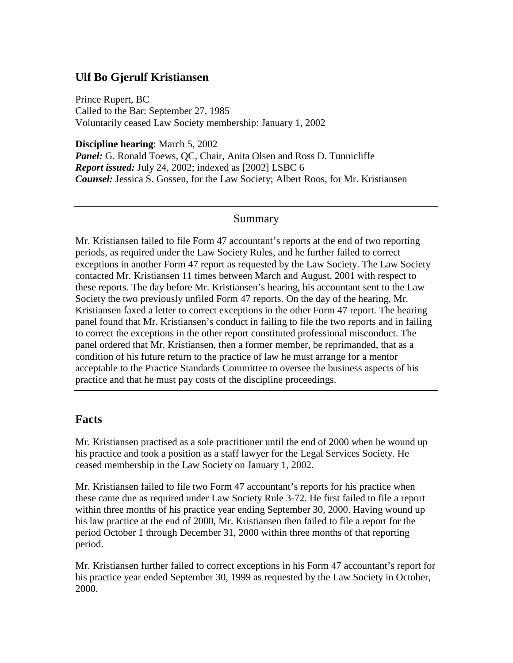### **Ulf Bo Gjerulf Kristiansen**

Prince Rupert, BC Called to the Bar: September 27, 1985 Voluntarily ceased Law Society membership: January 1, 2002

**Discipline hearing**: March 5, 2002

Panel: G. Ronald Toews, QC, Chair, Anita Olsen and Ross D. Tunnicliffe *Report issued:* July 24, 2002; indexed as [2002] LSBC 6 *Counsel:* Jessica S. Gossen, for the Law Society; Albert Roos, for Mr. Kristiansen

#### Summary

Mr. Kristiansen failed to file Form 47 accountant's reports at the end of two reporting periods, as required under the Law Society Rules, and he further failed to correct exceptions in another Form 47 report as requested by the Law Society. The Law Society contacted Mr. Kristiansen 11 times between March and August, 2001 with respect to these reports. The day before Mr. Kristiansen's hearing, his accountant sent to the Law Society the two previously unfiled Form 47 reports. On the day of the hearing, Mr. Kristiansen faxed a letter to correct exceptions in the other Form 47 report. The hearing panel found that Mr. Kristiansen's conduct in failing to file the two reports and in failing to correct the exceptions in the other report constituted professional misconduct. The panel ordered that Mr. Kristiansen, then a former member, be reprimanded, that as a condition of his future return to the practice of law he must arrange for a mentor acceptable to the Practice Standards Committee to oversee the business aspects of his practice and that he must pay costs of the discipline proceedings.

#### **Facts**

Mr. Kristiansen practised as a sole practitioner until the end of 2000 when he wound up his practice and took a position as a staff lawyer for the Legal Services Society. He ceased membership in the Law Society on January 1, 2002.

Mr. Kristiansen failed to file two Form 47 accountant's reports for his practice when these came due as required under Law Society Rule 3-72. He first failed to file a report within three months of his practice year ending September 30, 2000. Having wound up his law practice at the end of 2000, Mr. Kristiansen then failed to file a report for the period October 1 through December 31, 2000 within three months of that reporting period.

Mr. Kristiansen further failed to correct exceptions in his Form 47 accountant's report for his practice year ended September 30, 1999 as requested by the Law Society in October, 2000.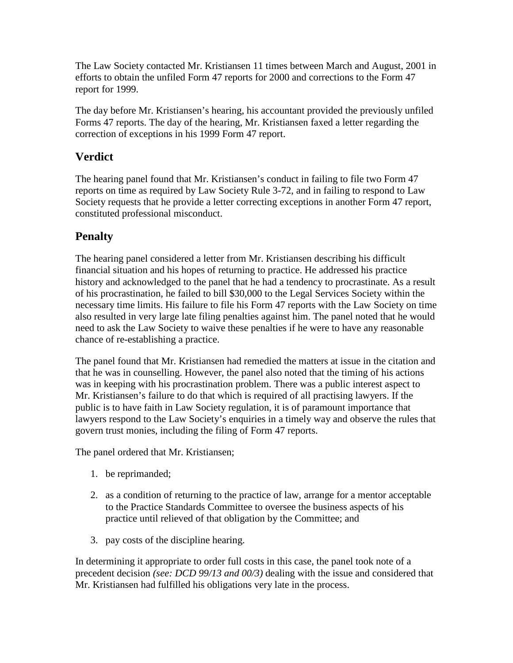The Law Society contacted Mr. Kristiansen 11 times between March and August, 2001 in efforts to obtain the unfiled Form 47 reports for 2000 and corrections to the Form 47 report for 1999.

The day before Mr. Kristiansen's hearing, his accountant provided the previously unfiled Forms 47 reports. The day of the hearing, Mr. Kristiansen faxed a letter regarding the correction of exceptions in his 1999 Form 47 report.

## **Verdict**

The hearing panel found that Mr. Kristiansen's conduct in failing to file two Form 47 reports on time as required by Law Society Rule 3-72, and in failing to respond to Law Society requests that he provide a letter correcting exceptions in another Form 47 report, constituted professional misconduct.

# **Penalty**

The hearing panel considered a letter from Mr. Kristiansen describing his difficult financial situation and his hopes of returning to practice. He addressed his practice history and acknowledged to the panel that he had a tendency to procrastinate. As a result of his procrastination, he failed to bill \$30,000 to the Legal Services Society within the necessary time limits. His failure to file his Form 47 reports with the Law Society on time also resulted in very large late filing penalties against him. The panel noted that he would need to ask the Law Society to waive these penalties if he were to have any reasonable chance of re-establishing a practice.

The panel found that Mr. Kristiansen had remedied the matters at issue in the citation and that he was in counselling. However, the panel also noted that the timing of his actions was in keeping with his procrastination problem. There was a public interest aspect to Mr. Kristiansen's failure to do that which is required of all practising lawyers. If the public is to have faith in Law Society regulation, it is of paramount importance that lawyers respond to the Law Society's enquiries in a timely way and observe the rules that govern trust monies, including the filing of Form 47 reports.

The panel ordered that Mr. Kristiansen;

- 1. be reprimanded;
- 2. as a condition of returning to the practice of law, arrange for a mentor acceptable to the Practice Standards Committee to oversee the business aspects of his practice until relieved of that obligation by the Committee; and
- 3. pay costs of the discipline hearing.

In determining it appropriate to order full costs in this case, the panel took note of a precedent decision *(see: DCD 99/13 and 00/3)* dealing with the issue and considered that Mr. Kristiansen had fulfilled his obligations very late in the process.